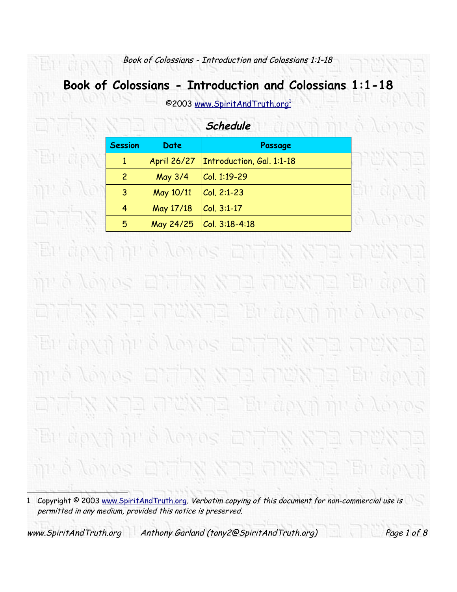騀

# **Book of Colossians - Introduction and Colossians 1:1-18**

©2003www.SpiritAndTruth.org1

| Schedule       |                    |                           |  |
|----------------|--------------------|---------------------------|--|
| <b>Session</b> | Date               | Passage                   |  |
|                | <b>April 26/27</b> | Introduction, Gal. 1:1-18 |  |
| 2              | May 3/4            | Col. 1:19-29              |  |
| 3              | May 10/11          | $Col. 2:1-23$             |  |
| 4              | May 17/18          | Col. 3:1-17               |  |
| 5              | May 24/25          | Col. 3:18-4:18            |  |

un o you od ĦЛ 1B) S E) 6C

<span id="page-0-0"></span>1 Copyright © 2003 [www.SpiritAndTruth.org](http://www.spiritandtruth.org/). Verbatim copying of this document for non-commercial use is permitted in any medium, provided this notice is preserved.

www.SpiritAndTruth.org Anthony Garland (tony2@SpiritAndTruth.org) Page 1 of 8

193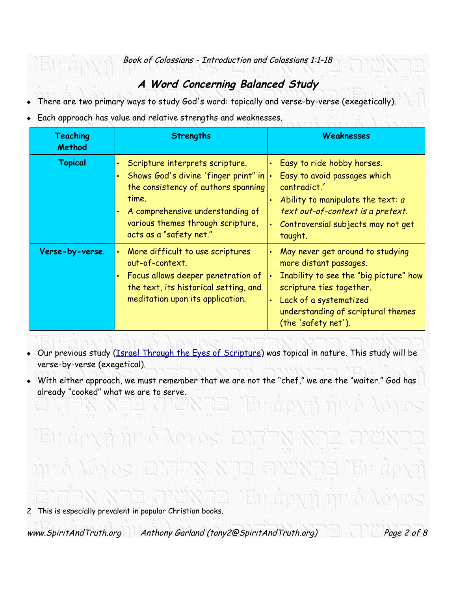# **<sup>A</sup> Word Concerning Balanced Study**

- There are two primary ways to study God's word: topically and verse-by-verse (exegetically).
- Each approach has value and relative strengths and weaknesses.

| Teaching<br><b>Method</b> | <b>Strengths</b>                                                                                                                                                                                                                    | <b>Weaknesses</b>                                                                                                                                                                                                                    |
|---------------------------|-------------------------------------------------------------------------------------------------------------------------------------------------------------------------------------------------------------------------------------|--------------------------------------------------------------------------------------------------------------------------------------------------------------------------------------------------------------------------------------|
| <b>Topical</b>            | Scripture interprets scripture.<br>Shows God's divine 'finger print" in $\cdot$<br>the consistency of authors spanning<br>time.<br>A comprehensive understanding of<br>various themes through scripture,<br>acts as a "safety net." | Easy to ride hobby horses.<br>Easy to avoid passages which<br>contradict. <sup>2</sup><br>Ability to manipulate the text: $a$<br>text out-of-context is a pretext.<br>Controversial subjects may not get<br>taught.                  |
| Verse-by-verse.           | More difficult to use scriptures<br>out-of-context.<br>Focus allows deeper penetration of<br>the text, its historical setting, and<br>meditation upon its application.                                                              | May never get around to studying<br>more distant passages.<br>Inability to see the "big picture" how<br>scripture ties together.<br>Lack of a systematized<br>$\bullet$<br>understanding of scriptural themes<br>(the 'safety net'). |

- Our previous study (*Israel Through the Eyes of Scripture*) was topical in nature. This study will be verse-by-verse (exegetical).
- With either approach, we must remember that we are not the "chef," we are the "waiter." God has already "cooked" what we are to serve.

<span id="page-1-0"></span>2 This is especially prevalent in popular Christian books.

www.SpiritAndTruth.org Anthony Garland (tony2@SpiritAndTruth.org) Page <sup>2</sup> of 8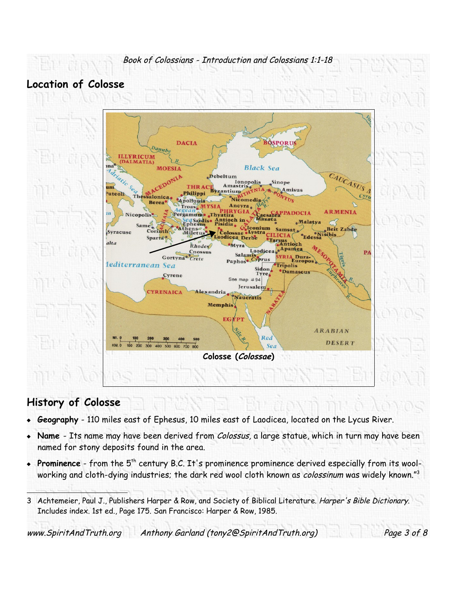# **Location of Colosse**



## **History of Colosse**

- **Geography** 110 miles east of Ephesus, 10 miles east of Laodicea, located on the Lycus River.
- **Name**  Its name may have been derived from Colossus, a large statue, which in turn may have been named for stony deposits found in the area.
- **Prominence** from the 5<sup>th</sup> century B.C. It's prominence prominence derived especially from its woolworking and cloth-dying industries; the dark red wool cloth known as *colossinum* was widely known."<sup>[3](#page-2-0)</sup>
- <span id="page-2-0"></span>3 Achtemeier, Paul J., Publishers Harper & Row, and Society of Biblical Literature. Harper's Bible Dictionary. Includes index. 1st ed., Page 175. San Francisco: Harper & Row, 1985.

www.SpiritAndTruth.org Anthony Garland (tony2@SpiritAndTruth.org) Page 3 of 8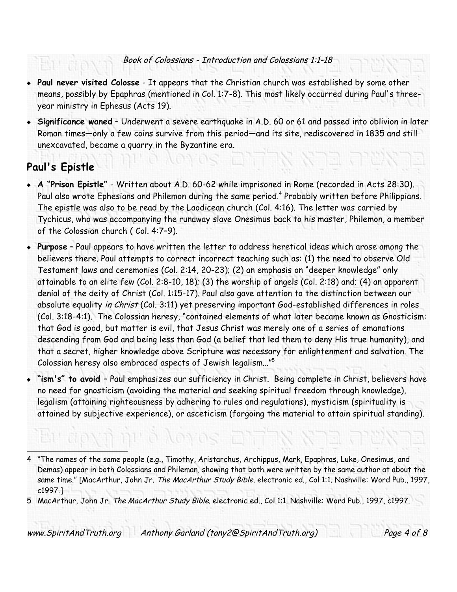- **Paul never visited Colosse** It appears that the Christian church was established by some other means, possibly by Epaphras (mentioned in Col. 1:7-8). This most likely occurred during Paul's threeyear ministry in Ephesus (Acts 19).
- **Significance waned** Underwent a severe earthquake in A.D. 60 or 61 and passed into oblivion in later Roman times—only a few coins survive from this period—and its site, rediscovered in 1835 and still unexcavated, became a quarry in the Byzantine era.

## **Paul's Epistle**

- **A "Prison Epistle"** Written about A.D. 60-62 while imprisoned in Rome (recorded in Acts 28:30). Paul also wrote Ephesians and Philemon during the same period. [4](#page-3-0) Probably written before Philippians. The epistle was also to be read by the Laodicean church (Col. 4:16). The letter was carried by Tychicus, who was accompanying the runaway slave Onesimus back to his master, Philemon, a member of the Colossian church ( Col. 4:7–9).
- **Purpose** Paul appears to have written the letter to address heretical ideas which arose among the believers there. Paul attempts to correct incorrect teaching such as: (1) the need to observe Old Testament laws and ceremonies (Col. 2:14, 20-23); (2) an emphasis on "deeper knowledge" only attainable to an elite few (Col. 2:8-10, 18); (3) the worship of angels (Col. 2:18) and; (4) an apparent denial of the deity of Christ (Col. 1:15-17). Paul also gave attention to the distinction between our absolute equality in Christ (Col. 3:11) yet preserving important God-established differences in roles (Col. 3:18-4:1). The Colossian heresy, "contained elements of what later became known as Gnosticism: that God is good, but matter is evil, that Jesus Christ was merely one of a series of emanations descending from God and being less than God (a belief that led them to deny His true humanity), and that a secret, higher knowledge above Scripture was necessary for enlightenment and salvation. The Colossian heresy also embraced aspects of Jewish legalism..." [5](#page-3-1)
- **"ism's" to avoid** Paul emphasizes our sufficiency in Christ. Being complete in Christ, believers have no need for gnosticism (avoiding the material and seeking spiritual freedom through knowledge), legalism (attaining righteousness by adhering to rules and regulations), mysticism (spirituality is attained by subjective experience), or asceticism (forgoing the material to attain spiritual standing).

<span id="page-3-1"></span>5 MacArthur, John Jr. The MacArthur Study Bible. electronic ed., Col 1:1. Nashville: Word Pub., 1997, c1997.

www.SpiritAndTruth.org Anthony Garland (tony2@SpiritAndTruth.org) Page 4 of 8

<span id="page-3-0"></span><sup>4</sup> "The names of the same people (e.g., Timothy, Aristarchus, Archippus, Mark, Epaphras, Luke, Onesimus, and Demas) appear in both Colossians and Phileman, showing that both were written by the same author at about the same time." [MacArthur, John Jr. The MacArthur Study Bible. electronic ed., Col 1:1. Nashville: Word Pub., 1997, c1997.]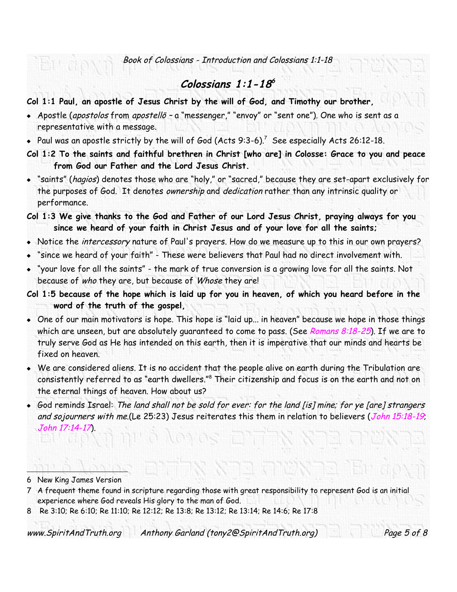## **Colossians 1:1-18 [6](#page-4-0)**

## **Col 1:1 Paul, an apostle of Jesus Christ by the will of God, and Timothy our brother,**

- Apostle (apostolos from apostellō a "messenger," "envoy" or "sent one"). One who is sent as a representative with a message.
- Paul was an apostle strictly by the will of God (Acts 9:3-6).<sup>[7](#page-4-1)</sup> See especially Acts 26:12-18.
- **Col 1:2 To the saints and faithful brethren in Christ [who are] in Colosse: Grace to you and peace from God our Father and the Lord Jesus Christ.**
- "saints" (hagios) denotes those who are "holy," or "sacred," because they are set-apart exclusively for the purposes of God. It denotes ownership and dedication rather than any intrinsic quality or performance.
- **Col 1:3 We give thanks to the God and Father of our Lord Jesus Christ, praying always for you since we heard of your faith in Christ Jesus and of your love for all the saints;**
- Notice the *intercessory* nature of Paul's prayers. How do we measure up to this in our own prayers?
- "since we heard of your faith" These were believers that Paul had no direct involvement with.
- "your love for all the saints" the mark of true conversion is a growing love for all the saints. Not because of who they are, but because of Whose they are!
- **Col 1:5 because of the hope which is laid up for you in heaven, of which you heard before in the word of the truth of the gospel,**
- One of our main motivators is hope. This hope is "laid up... in heaven" because we hope in those things which are unseen, but are absolutely guaranteed to come to pass. (See Romans  $8:18-25$ ). If we are to truly serve God as He has intended on this earth, then it is imperative that our minds and hearts be fixed on heaven.
- We are considered aliens. It is no accident that the people alive on earth during the Tribulation are consistently referred to as "earth dwellers." [8](#page-4-2) Their citizenship and focus is on the earth and not on the eternal things of heaven. How about us?
- God reminds Israel: The land shall not be sold for ever: for the land [is] mine; for ye [are] strangers and sojourners with me.(Le 25:23) Jesus reiterates this them in relation to believers (John 15:18-19; John 17:14-17).

<span id="page-4-0"></span>6 New King James Version

- <span id="page-4-1"></span>7 A frequent theme found in scripture regarding those with great responsibility to represent God is an initial experience where God reveals His glory to the man of God.
- <span id="page-4-2"></span>8 Re 3:10; Re 6:10; Re 11:10; Re 12:12; Re 13:8; Re 13:12; Re 13:14; Re 14:6; Re 17:8

www.SpiritAndTruth.org Anthony Garland (tony2@SpiritAndTruth.org) Page 5 of 8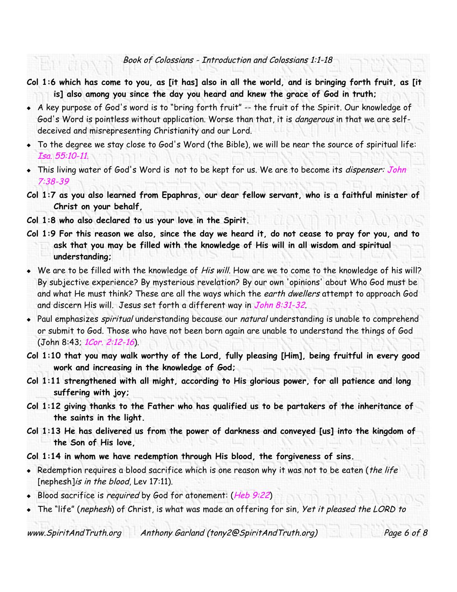Col 1:6 which has come to you, as [it has] also in all the world, and is bringing forth fruit, as [it **is] also among you since the day you heard and knew the grace of God in truth;**

- A key purpose of God's word is to "bring forth fruit" -- the fruit of the Spirit. Our knowledge of God's Word is pointless without application. Worse than that, it is *dangerous* in that we are selfdeceived and misrepresenting Christianity and our Lord.
- To the degree we stay close to God's Word (the Bible), we will be near the source of spiritual life: Isa. 55:10-11.
- This living water of God's Word is not to be kept for us. We are to become its dispenser: John 7:38-39
- **Col 1:7 as you also learned from Epaphras, our dear fellow servant, who is a faithful minister of Christ on your behalf,**

**Col 1:8 who also declared to us your love in the Spirit.**

- Col 1:9 For this reason we also, since the day we heard it, do not cease to pray for you, and to **ask that you may be filled with the knowledge of His will in all wisdom and spiritual understanding;**
- We are to be filled with the knowledge of His will. How are we to come to the knowledge of his will? By subjective experience? By mysterious revelation? By our own 'opinions' about Who God must be and what He must think? These are all the ways which the earth dwellers attempt to approach God and discern His will. Jesus set forth a different way in John 8:31-32.
- Paul emphasizes spiritual understanding because our natural understanding is unable to comprehend or submit to God. Those who have not been born again are unable to understand the things of God (John 8:43; 1Cor. 2:12-16).
- **Col 1:10 that you may walk worthy of the Lord, fully pleasing [Him], being fruitful in every good work and increasing in the knowledge of God;**
- **Col 1:11 strengthened with all might, according to His glorious power, for all patience and long suffering with joy;**
- **Col 1:12 giving thanks to the Father who has qualified us to be partakers of the inheritance of the saints in the light.**
- **Col 1:13 He has delivered us from the power of darkness and conveyed [us] into the kingdom of the Son of His love,**
- **Col 1:14 in whom we have redemption through His blood, the forgiveness of sins.**
- $\bullet$  Redemption requires a blood sacrifice which is one reason why it was not to be eaten (the life [nephesh]is in the blood, Lev 17:11).
- Blood sacrifice is required by God for atonement:  $(Heb 9:22)$
- The "life" (nephesh) of Christ, is what was made an offering for sin, Yet it pleased the LORD to

www.SpiritAndTruth.org Anthony Garland (tony2@SpiritAndTruth.org) Page 6 of 8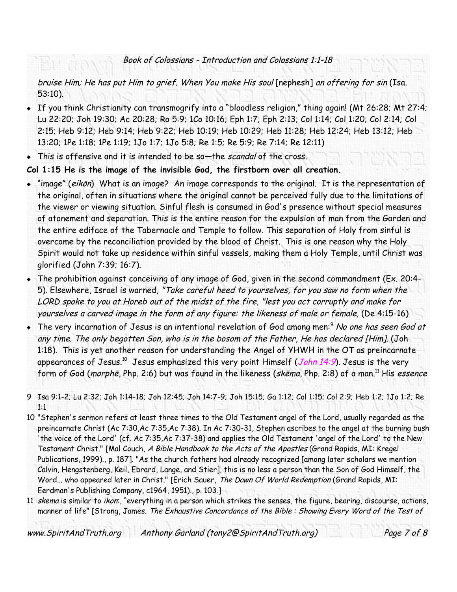bruise Him; He has put Him to grief. When You make His soul [nephesh] an offering for sin (Isa. 53:10).

- If you think Christianity can transmogrify into a "bloodless religion," thing again! (Mt 26:28; Mt 27:4; Lu 22:20; Joh 19:30; Ac 20:28; Ro 5:9; 1Co 10:16; Eph 1:7; Eph 2:13; Col 1:14; Col 1:20; Col 2:14; Col 2:15; Heb 9:12; Heb 9:14; Heb 9:22; Heb 10:19; Heb 10:29; Heb 11:28; Heb 12:24; Heb 13:12; Heb 13:20; 1Pe 1:18; 1Pe 1:19; 1Jo 1:7; 1Jo 5:8; Re 1:5; Re 5:9; Re 7:14; Re 12:11)
- This is offensive and it is intended to be so-the scandal of the cross.

### **Col 1:15 He is the image of the invisible God, the firstborn over all creation.**

- "image" (eikōn) What is an image? An image corresponds to the original. It is the representation of the original, often in situations where the original cannot be perceived fully due to the limitations of the viewer or viewing situation. Sinful flesh is consumed in God's presence without special measures of atonement and separation. This is the entire reason for the expulsion of man from the Garden and the entire ediface of the Tabernacle and Temple to follow. This separation of Holy from sinful is overcome by the reconciliation provided by the blood of Christ. This is one reason why the Holy Spirit would not take up residence within sinful vessels, making them a Holy Temple, until Christ was glorified (John 7:39; 16:7).
- The prohibition against conceiving of any image of God, given in the second commandment (Ex. 20:4- 5). Elsewhere, Israel is warned, "Take careful heed to yourselves, for you saw no form when the LORD spoke to you at Horeb out of the midst of the fire, "lest you act corruptly and make for yourselves <sup>a</sup> carved image in the form of any figure: the likeness of male or female, (De 4:15-16)
- $\bullet$  The very incarnation of Jesus is an intentional revelation of God among men: $^{\circ}$  No one has seen God at any time. The only begotten Son, who is in the bosom of the Father, He has declared [Him]. (Joh 1:18). This is yet another reason for understanding the Angel of YHWH in the OT as preincarnate appearances of Jesus.<sup>[10](#page-6-1)</sup> Jesus emphasized this very point Himself (*John 14:9*). Jesus is the very form of God (*morphē*, Php. 2:6) but was found in the likeness (*skēma,* Php. 2:8) of a man.<sup>[11](#page-6-2)</sup> His *essence*

<span id="page-6-2"></span>11 skema is similar to ikon:, "everything in a person which strikes the senses, the figure, bearing, discourse, actions, manner of life" [Strong, James. The Exhaustive Concordance of the Bible : Showing Every Word of the Test of

www.SpiritAndTruth.org Anthony Garland (tony2@SpiritAndTruth.org) Page 7 of 8

<span id="page-6-0"></span><sup>9</sup> Isa 9:1-2; Lu 2:32; Joh 1:14-18; Joh 12:45; Joh 14:7-9; Joh 15:15; Ga 1:12; Col 1:15; Col 2:9; Heb 1:2; 1Jo 1:2; Re 1:1

<span id="page-6-1"></span><sup>10</sup> "Stephen's sermon refers at least three times to the Old Testament angel of the Lord, usually regarded as the preincarnate Christ (Ac 7:30,Ac 7:35,Ac 7:38). In Ac 7:30-31, Stephen ascribes to the angel at the burning bush 'the voice of the Lord' (cf. Ac 7:35,Ac 7:37-38) and applies the Old Testament 'angel of the Lord' to the New Testament Christ." [Mal Couch, <sup>A</sup> Bible Handbook to the Acts of the Apostles (Grand Rapids, MI: Kregel Publications, 1999)., p. 187]. "As the church fathers had already recognized [among later scholars we mention Calvin, Hengstenberg, Keil, Ebrard, Lange, and Stier], this is no less a person than the Son of God Himself, the Word... who appeared later in Christ." [Erich Sauer, The Dawn Of World Redemption (Grand Rapids, MI: Eerdman's Publishing Company, c1964, 1951)., p. 103.]